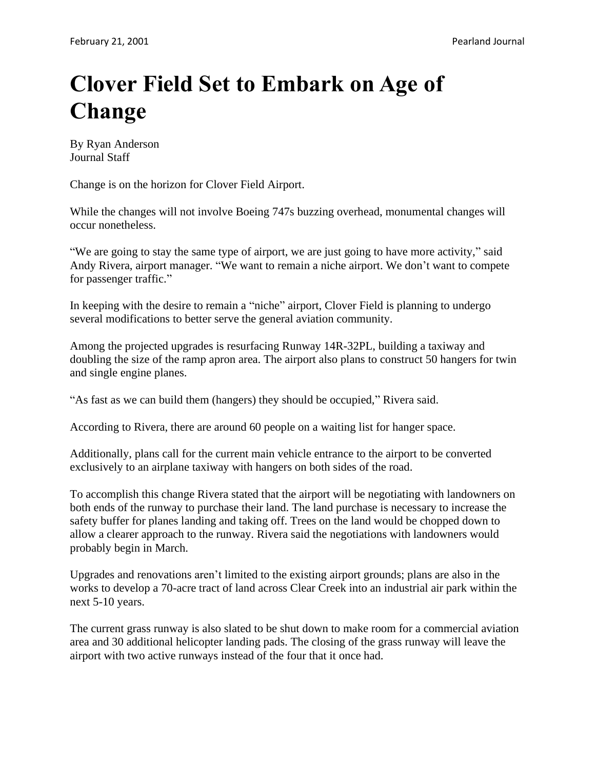## **Clover Field Set to Embark on Age of Change**

By Ryan Anderson Journal Staff

Change is on the horizon for Clover Field Airport.

While the changes will not involve Boeing 747s buzzing overhead, monumental changes will occur nonetheless.

"We are going to stay the same type of airport, we are just going to have more activity," said Andy Rivera, airport manager. "We want to remain a niche airport. We don't want to compete for passenger traffic."

In keeping with the desire to remain a "niche" airport, Clover Field is planning to undergo several modifications to better serve the general aviation community.

Among the projected upgrades is resurfacing Runway 14R-32PL, building a taxiway and doubling the size of the ramp apron area. The airport also plans to construct 50 hangers for twin and single engine planes.

"As fast as we can build them (hangers) they should be occupied," Rivera said.

According to Rivera, there are around 60 people on a waiting list for hanger space.

Additionally, plans call for the current main vehicle entrance to the airport to be converted exclusively to an airplane taxiway with hangers on both sides of the road.

To accomplish this change Rivera stated that the airport will be negotiating with landowners on both ends of the runway to purchase their land. The land purchase is necessary to increase the safety buffer for planes landing and taking off. Trees on the land would be chopped down to allow a clearer approach to the runway. Rivera said the negotiations with landowners would probably begin in March.

Upgrades and renovations aren't limited to the existing airport grounds; plans are also in the works to develop a 70-acre tract of land across Clear Creek into an industrial air park within the next 5-10 years.

The current grass runway is also slated to be shut down to make room for a commercial aviation area and 30 additional helicopter landing pads. The closing of the grass runway will leave the airport with two active runways instead of the four that it once had.